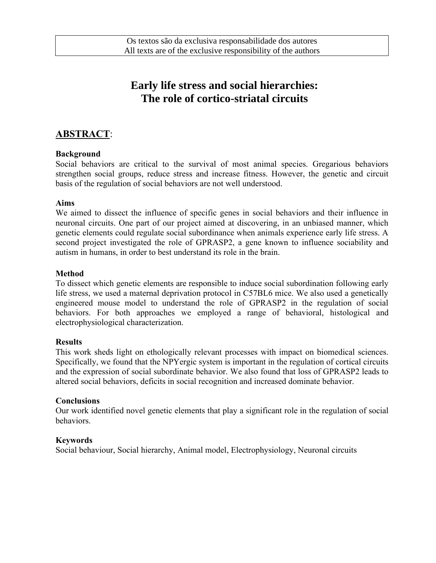# **Early life stress and social hierarchies: The role of cortico-striatal circuits**

### **ABSTRACT**:

#### **Background**

Social behaviors are critical to the survival of most animal species. Gregarious behaviors strengthen social groups, reduce stress and increase fitness. However, the genetic and circuit basis of the regulation of social behaviors are not well understood.

#### **Aims**

We aimed to dissect the influence of specific genes in social behaviors and their influence in neuronal circuits. One part of our project aimed at discovering, in an unbiased manner, which genetic elements could regulate social subordinance when animals experience early life stress. A second project investigated the role of GPRASP2, a gene known to influence sociability and autism in humans, in order to best understand its role in the brain.

#### **Method**

To dissect which genetic elements are responsible to induce social subordination following early life stress, we used a maternal deprivation protocol in C57BL6 mice. We also used a genetically engineered mouse model to understand the role of GPRASP2 in the regulation of social behaviors. For both approaches we employed a range of behavioral, histological and electrophysiological characterization.

#### **Results**

This work sheds light on ethologically relevant processes with impact on biomedical sciences. Specifically, we found that the NPYergic system is important in the regulation of cortical circuits and the expression of social subordinate behavior. We also found that loss of GPRASP2 leads to altered social behaviors, deficits in social recognition and increased dominate behavior.

#### **Conclusions**

Our work identified novel genetic elements that play a significant role in the regulation of social behaviors.

#### **Keywords**

Social behaviour, Social hierarchy, Animal model, Electrophysiology, Neuronal circuits